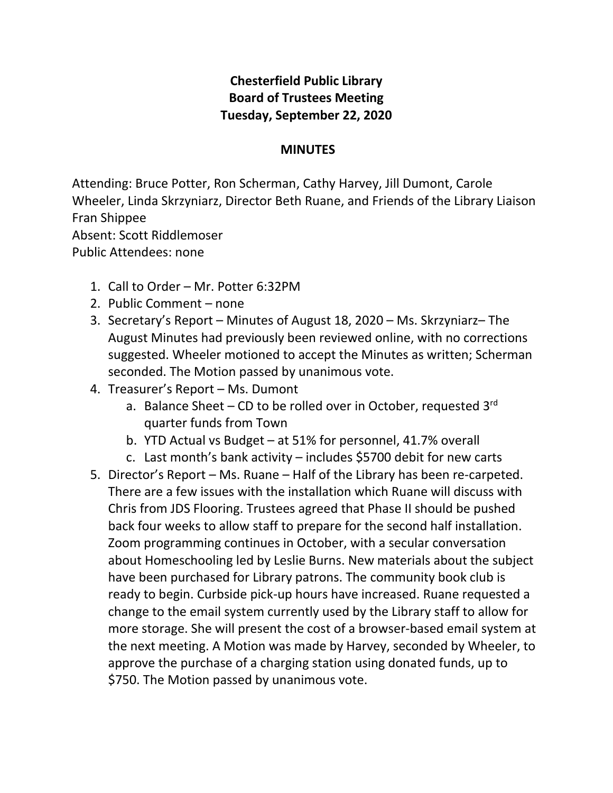## **Chesterfield Public Library Board of Trustees Meeting Tuesday, September 22, 2020**

## **MINUTES**

Attending: Bruce Potter, Ron Scherman, Cathy Harvey, Jill Dumont, Carole Wheeler, Linda Skrzyniarz, Director Beth Ruane, and Friends of the Library Liaison Fran Shippee Absent: Scott Riddlemoser

Public Attendees: none

- 1. Call to Order Mr. Potter 6:32PM
- 2. Public Comment none
- 3. Secretary's Report Minutes of August 18, 2020 Ms. Skrzyniarz– The August Minutes had previously been reviewed online, with no corrections suggested. Wheeler motioned to accept the Minutes as written; Scherman seconded. The Motion passed by unanimous vote.
- 4. Treasurer's Report Ms. Dumont
	- a. Balance Sheet CD to be rolled over in October, requested  $3^{rd}$ quarter funds from Town
	- b. YTD Actual vs Budget at 51% for personnel, 41.7% overall
	- c. Last month's bank activity includes \$5700 debit for new carts
- 5. Director's Report Ms. Ruane Half of the Library has been re-carpeted. There are a few issues with the installation which Ruane will discuss with Chris from JDS Flooring. Trustees agreed that Phase II should be pushed back four weeks to allow staff to prepare for the second half installation. Zoom programming continues in October, with a secular conversation about Homeschooling led by Leslie Burns. New materials about the subject have been purchased for Library patrons. The community book club is ready to begin. Curbside pick-up hours have increased. Ruane requested a change to the email system currently used by the Library staff to allow for more storage. She will present the cost of a browser-based email system at the next meeting. A Motion was made by Harvey, seconded by Wheeler, to approve the purchase of a charging station using donated funds, up to \$750. The Motion passed by unanimous vote.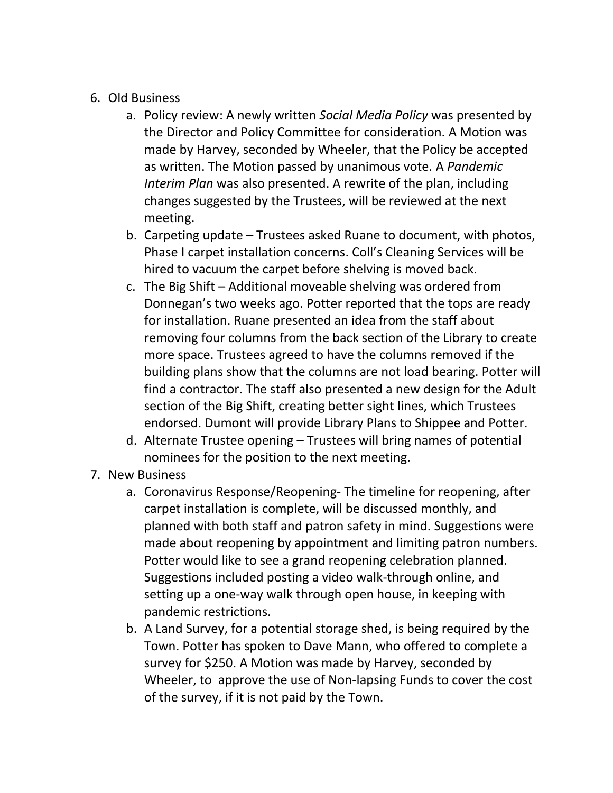- 6. Old Business
	- a. Policy review: A newly written *Social Media Policy* was presented by the Director and Policy Committee for consideration. A Motion was made by Harvey, seconded by Wheeler, that the Policy be accepted as written. The Motion passed by unanimous vote. A *Pandemic Interim Plan* was also presented. A rewrite of the plan, including changes suggested by the Trustees, will be reviewed at the next meeting.
	- b. Carpeting update Trustees asked Ruane to document, with photos, Phase I carpet installation concerns. Coll's Cleaning Services will be hired to vacuum the carpet before shelving is moved back.
	- c. The Big Shift Additional moveable shelving was ordered from Donnegan's two weeks ago. Potter reported that the tops are ready for installation. Ruane presented an idea from the staff about removing four columns from the back section of the Library to create more space. Trustees agreed to have the columns removed if the building plans show that the columns are not load bearing. Potter will find a contractor. The staff also presented a new design for the Adult section of the Big Shift, creating better sight lines, which Trustees endorsed. Dumont will provide Library Plans to Shippee and Potter.
	- d. Alternate Trustee opening Trustees will bring names of potential nominees for the position to the next meeting.
- 7. New Business
	- a. Coronavirus Response/Reopening- The timeline for reopening, after carpet installation is complete, will be discussed monthly, and planned with both staff and patron safety in mind. Suggestions were made about reopening by appointment and limiting patron numbers. Potter would like to see a grand reopening celebration planned. Suggestions included posting a video walk-through online, and setting up a one-way walk through open house, in keeping with pandemic restrictions.
	- b. A Land Survey, for a potential storage shed, is being required by the Town. Potter has spoken to Dave Mann, who offered to complete a survey for \$250. A Motion was made by Harvey, seconded by Wheeler, to approve the use of Non-lapsing Funds to cover the cost of the survey, if it is not paid by the Town.